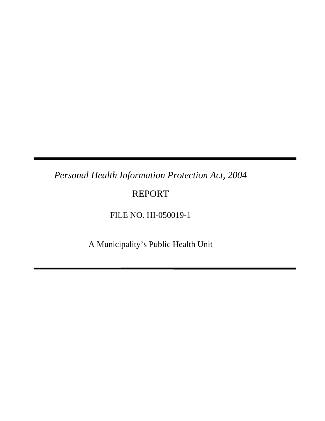# *Personal Health Information Protection Act, 2004*

# REPORT

### FILE NO. HI-050019-1

A Municipality's Public Health Unit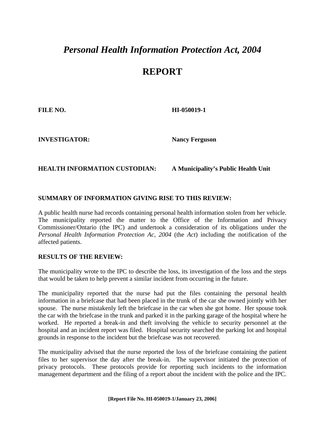## *Personal Health Information Protection Act, 2004*

### **REPORT**

**FILE NO. HI-050019-1** 

**INVESTIGATOR: Nancy Ferguson**

#### **HEALTH INFORMATION CUSTODIAN: A Municipality's Public Health Unit**

### **SUMMARY OF INFORMATION GIVING RISE TO THIS REVIEW:**

A public health nurse had records containing personal health information stolen from her vehicle. The municipality reported the matter to the Office of the Information and Privacy Commissioner/Ontario (the IPC) and undertook a consideration of its obligations under the *Personal Health Information Protection Ac, 2004* (the *Act*) including the notification of the affected patients.

#### **RESULTS OF THE REVIEW:**

The municipality wrote to the IPC to describe the loss, its investigation of the loss and the steps that would be taken to help prevent a similar incident from occurring in the future.

The municipality reported that the nurse had put the files containing the personal health information in a briefcase that had been placed in the trunk of the car she owned jointly with her spouse. The nurse mistakenly left the briefcase in the car when she got home. Her spouse took the car with the briefcase in the trunk and parked it in the parking garage of the hospital where he worked. He reported a break-in and theft involving the vehicle to security personnel at the hospital and an incident report was filed. Hospital security searched the parking lot and hospital grounds in response to the incident but the briefcase was not recovered.

The municipality advised that the nurse reported the loss of the briefcase containing the patient files to her supervisor the day after the break-in. The supervisor initiated the protection of privacy protocols. These protocols provide for reporting such incidents to the information management department and the filing of a report about the incident with the police and the IPC.